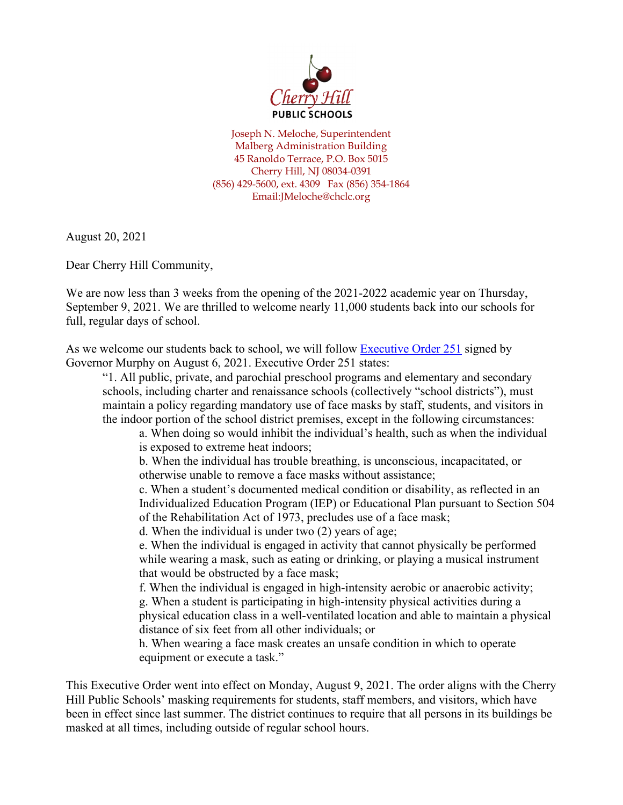

Joseph N. Meloche, Superintendent Malberg Administration Building 45 Ranoldo Terrace, P.O. Box 5015 Cherry Hill, NJ 08034-0391 (856) 429-5600, ext. 4309 Fax (856) 354-1864 Email:JMeloche@chclc.org

August 20, 2021

Dear Cherry Hill Community,

We are now less than 3 weeks from the opening of the 2021-2022 academic year on Thursday, September 9, 2021. We are thrilled to welcome nearly 11,000 students back into our schools for full, regular days of school.

As we welcome our students back to school, we will follow [Executive Order 251](https://nj.gov/infobank/eo/056murphy/pdf/EO-251.pdf) signed by Governor Murphy on August 6, 2021. Executive Order 251 states:

"1. All public, private, and parochial preschool programs and elementary and secondary schools, including charter and renaissance schools (collectively "school districts"), must maintain a policy regarding mandatory use of face masks by staff, students, and visitors in the indoor portion of the school district premises, except in the following circumstances:

a. When doing so would inhibit the individual's health, such as when the individual is exposed to extreme heat indoors;

b. When the individual has trouble breathing, is unconscious, incapacitated, or otherwise unable to remove a face masks without assistance;

c. When a student's documented medical condition or disability, as reflected in an Individualized Education Program (IEP) or Educational Plan pursuant to Section 504 of the Rehabilitation Act of 1973, precludes use of a face mask;

d. When the individual is under two (2) years of age;

e. When the individual is engaged in activity that cannot physically be performed while wearing a mask, such as eating or drinking, or playing a musical instrument that would be obstructed by a face mask;

f. When the individual is engaged in high-intensity aerobic or anaerobic activity; g. When a student is participating in high-intensity physical activities during a physical education class in a well-ventilated location and able to maintain a physical distance of six feet from all other individuals; or

h. When wearing a face mask creates an unsafe condition in which to operate equipment or execute a task."

This Executive Order went into effect on Monday, August 9, 2021. The order aligns with the Cherry Hill Public Schools' masking requirements for students, staff members, and visitors, which have been in effect since last summer. The district continues to require that all persons in its buildings be masked at all times, including outside of regular school hours.